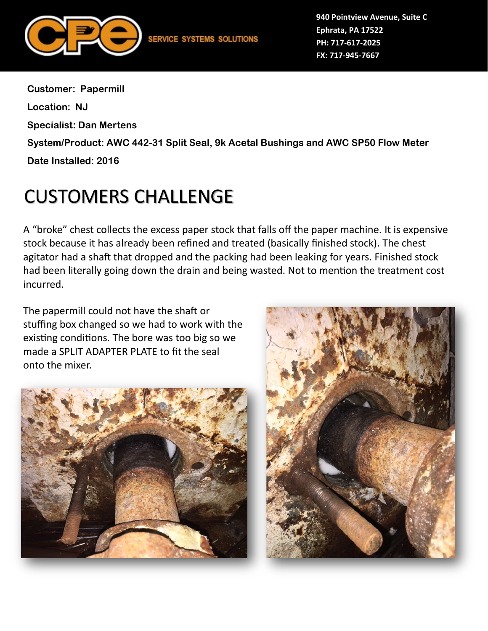

**940 Pointview Avenue, Suite C Ephrata, PA 17522 PH: 717-617-2025 FX: 717-945-7667**

**Customer: Papermill Location: NJ Specialist: Dan Mertens System/Product: AWC 442-31 Split Seal, 9k Acetal Bushings and AWC SP50 Flow Meter Date Installed: 2016**

## CUSTOMERS CHALLENGE

A "broke" chest collects the excess paper stock that falls off the paper machine. It is expensive stock because it has already been refined and treated (basically finished stock). The chest agitator had a shaft that dropped and the packing had been leaking for years. Finished stock had been literally going down the drain and being wasted. Not to mention the treatment cost incurred.

The papermill could not have the shaft or stuffing box changed so we had to work with the existing conditions. The bore was too big so we made a SPLIT ADAPTER PLATE to fit the seal onto the mixer.